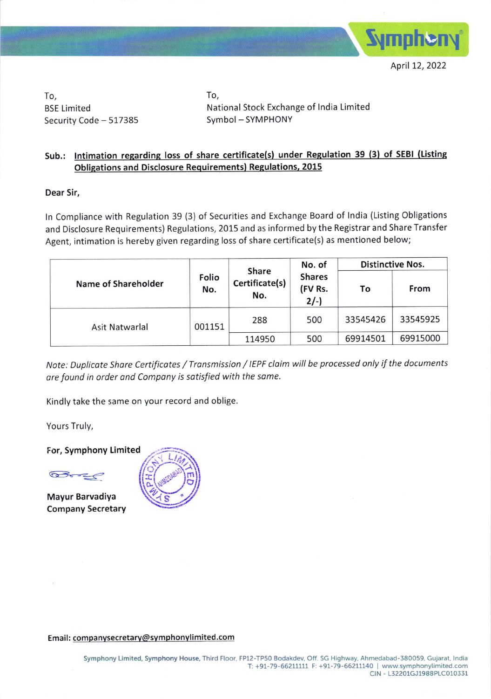

April 12, 2022

To, BSE Limited Security Code - 517385 To, National Stock Exchange of lndia Limited Symbol - SYMPHONY

## Sub.: Intimation regarding loss of share certificate(s) under Regulation 39 (3) of SEBI (Listing Obligations and Disclosure Requirements) Regulations, 2015

Dear Sir,

ln Compliance with Regulation 39 (3) of Securities and Exchange Board of lndia (Listing Obligations and Disclosure Requirements) Regulations, 2015 and as informed by the Registrar and Share Transfer Agent, intimation is hereby given regarding loss of share certificate(s) as mentioned below;

|                     | Folio<br>No. | Share<br>Certificate(s)<br>No. | No. of<br><b>Shares</b><br>(FV Rs.<br>$2/-$ | <b>Distinctive Nos.</b> |          |
|---------------------|--------------|--------------------------------|---------------------------------------------|-------------------------|----------|
| Name of Shareholder |              |                                |                                             | To                      | From     |
| Asit Natwarlal      | 001151       | 288                            | 500                                         | 33545426                | 33545925 |
|                     |              | 114950                         | 500                                         | 69914501                | 69915000 |

Note: Duplicote Shore Certificotes / Tronsmission / IEPF cloim will be processed only if the documents are found in order and Compony is sotisfied with the same.

Kindly take the same on your record and oblige.

Yours Truly,

For, Symphony Limited

 $\frac{1}{2}$ 

Mayur Barvadiya company secretary



Email: companvsecretarv@svmphonvlimited.com